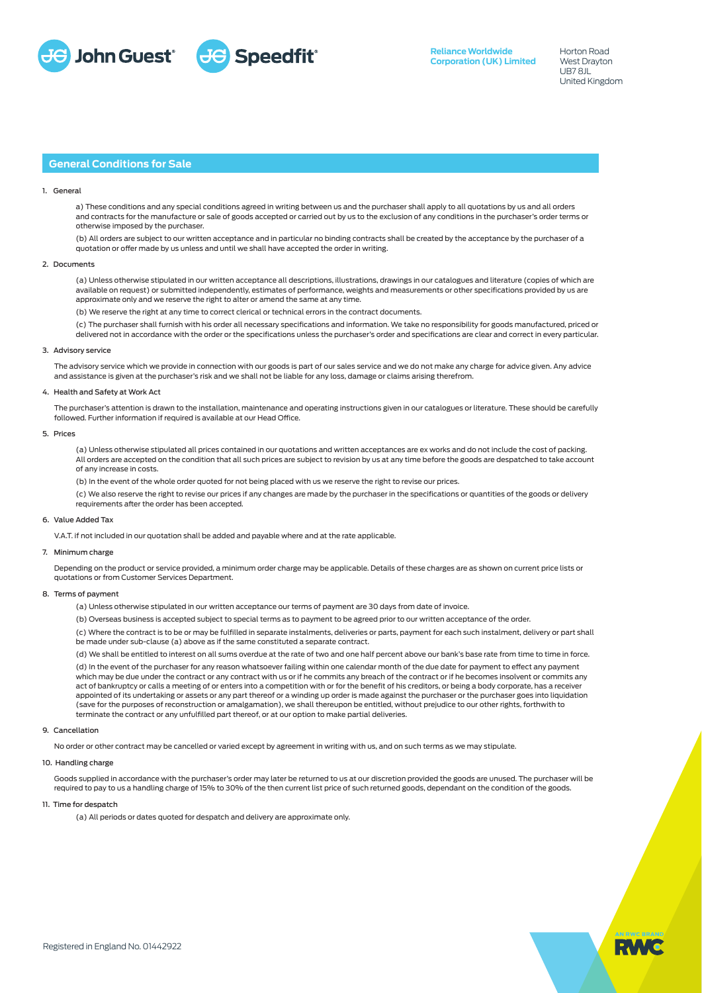

Horton Road West Drayton UB7 8JL United Kingdom

# **General Conditions for Sale**

### 1. General

a) These conditions and any special conditions agreed in writing between us and the purchaser shall apply to all quotations by us and all orders and contracts for the manufacture or sale of goods accepted or carried out by us to the exclusion of any conditions in the purchaser's order terms or otherwise imposed by the purchaser.

(b) All orders are subject to our written acceptance and in particular no binding contracts shall be created by the acceptance by the purchaser of a quotation or offer made by us unless and until we shall have accepted the order in writing.

### 2. Documents

(a) Unless otherwise stipulated in our written acceptance all descriptions, illustrations, drawings in our catalogues and literature (copies of which are available on request) or submitted independently, estimates of performance, weights and measurements or other specifications provided by us are approximate only and we reserve the right to alter or amend the same at any time.

(b) We reserve the right at any time to correct clerical or technical errors in the contract documents.

(c) The purchaser shall furnish with his order all necessary specifications and information. We take no responsibility for goods manufactured, priced or delivered not in accordance with the order or the specifications unless the purchaser's order and specifications are clear and correct in every particular.

### 3. Advisory servic

The advisory service which we provide in connection with our goods is part of our sales service and we do not make any charge for advice given. Any advice and assistance is given at the purchaser's risk and we shall not be liable for any loss, damage or claims arising therefrom.

# 4. Health and Safety at Work Act

The purchaser's attention is drawn to the installation, maintenance and operating instructions given in our catalogues or literature. These should be carefully followed. Further information if required is available at our Head Office.

### 5. Prices

(a) Unless otherwise stipulated all prices contained in our quotations and written acceptances are ex works and do not include the cost of packing. All orders are accepted on the condition that all such prices are subject to revision by us at any time before the goods are despatched to take account of any increase in costs.

(b) In the event of the whole order quoted for not being placed with us we reserve the right to revise our prices.

(c) We also reserve the right to revise our prices if any changes are made by the purchaser in the specifications or quantities of the goods or delivery requirements after the order has been accepted.

#### 6. Value Added Tax

V.A.T. if not included in our quotation shall be added and payable where and at the rate applicable.

# 7. Minimum charge

Depending on the product or service provided, a minimum order charge may be applicable. Details of these charges are as shown on current price lists or quotations or from Customer Services Department.

### 8. Terms of payment

(a) Unless otherwise stipulated in our written acceptance our terms of payment are 30 days from date of invoice.

(b) Overseas business is accepted subject to special terms as to payment to be agreed prior to our written acceptance of the order.

(c) Where the contract is to be or may be fulfilled in separate instalments, deliveries or parts, payment for each such instalment, delivery or part shall be made under sub-clause (a) above as if the same constituted a separate contract.

(d) We shall be entitled to interest on all sums overdue at the rate of two and one half percent above our bank's base rate from time to time in force. (d) In the event of the purchaser for any reason whatsoever failing within one calendar month of the due date for payment to effect any payment which may be due under the contract or any contract with us or if he commits any breach of the contract or if he becomes insolvent or commits any act of bankruptcy or calls a meeting of or enters into a competition with or for the benefit of his creditors, or being a body corporate, has a receiver appointed of its undertaking or assets or any part thereof or a winding up order is made against the purchaser or the purchaser goes into liquidation (save for the purposes of reconstruction or amalgamation), we shall thereupon be entitled, without prejudice to our other rights, forthwith to

# terminate the contract or any unfulfilled part thereof, or at our option to make partial deliveries.

# 9. Cancellation

No order or other contract may be cancelled or varied except by agreement in writing with us, and on such terms as we may stipulate.

### 10. Handling charge

Goods supplied in accordance with the purchaser's order may later be returned to us at our discretion provided the goods are unused. The purchaser will be required to pay to us a handling charge of 15% to 30% of the then current list price of such returned goods, dependant on the condition of the goods.

# 11. Time for despatch

(a) All periods or dates quoted for despatch and delivery are approximate only.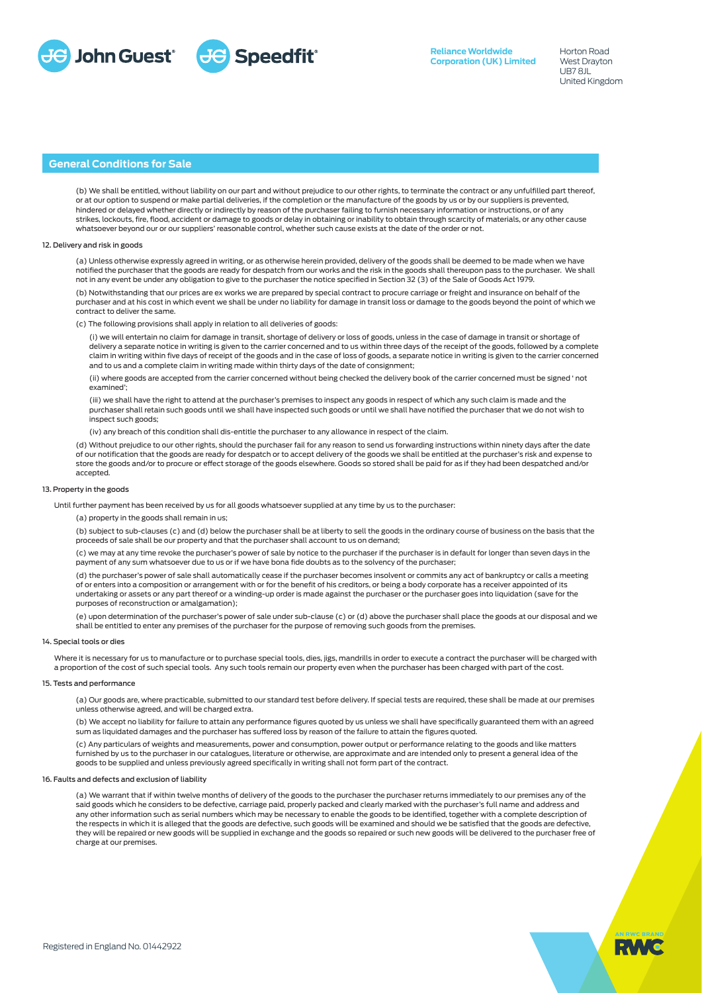

# **General Conditions for Sale**

(b) We shall be entitled, without liability on our part and without prejudice to our other rights, to terminate the contract or any unfulfilled part thereof, or at our option to suspend or make partial deliveries, if the completion or the manufacture of the goods by us or by our suppliers is prevented, hindered or delayed whether directly or indirectly by reason of the purchaser failing to furnish necessary information or instructions, or of any strikes, lockouts, fire, flood, accident or damage to goods or delay in obtaining or inability to obtain through scarcity of materials, or any other cause whatsoever beyond our or our suppliers' reasonable control, whether such cause exists at the date of the order or not.

### 12. Delivery and risk in goods

(a) Unless otherwise expressly agreed in writing, or as otherwise herein provided, delivery of the goods shall be deemed to be made when we have notified the purchaser that the goods are ready for despatch from our works and the risk in the goods shall thereupon pass to the purchaser. We shall not in any event be under any obligation to give to the purchaser the notice specified in Section 32 (3) of the Sale of Goods Act 1979.

(b) Notwithstanding that our prices are ex works we are prepared by special contract to procure carriage or freight and insurance on behalf of the purchaser and at his cost in which event we shall be under no liability for damage in transit loss or damage to the goods beyond the point of which we contract to deliver the same.

The following provisions shall apply in relation to all deliveries of goods:

(i) we will entertain no claim for damage in transit, shortage of delivery or loss of goods, unless in the case of damage in transit or shortage of delivery a separate notice in writing is given to the carrier concerned and to us within three days of the receipt of the goods, followed by a complete claim in writing within five days of receipt of the goods and in the case of loss of goods, a separate notice in writing is given to the carrier concerned and to us and a complete claim in writing made within thirty days of the date of consignment;

(ii) where goods are accepted from the carrier concerned without being checked the delivery book of the carrier concerned must be signed ' not examined';

(iii) we shall have the right to attend at the purchaser's premises to inspect any goods in respect of which any such claim is made and the purchaser shall retain such goods until we shall have inspected such goods or until we shall have notified the purchaser that we do not wish to inspect such goods;

(iv) any breach of this condition shall dis-entitle the purchaser to any allowance in respect of the claim.

(d) Without prejudice to our other rights, should the purchaser fail for any reason to send us forwarding instructions within ninety days after the date of our notification that the goods are ready for despatch or to accept delivery of the goods we shall be entitled at the purchaser's risk and expense to store the goods and/or to procure or effect storage of the goods elsewhere. Goods so stored shall be paid for as if they had been despatched and/or accepted.

## 13. Property in the goods

Until further payment has been received by us for all goods whatsoever supplied at any time by us to the purchaser:

(a) property in the goods shall remain in us;

(b) subject to sub-clauses (c) and (d) below the purchaser shall be at liberty to sell the goods in the ordinary course of business on the basis that the proceeds of sale shall be our property and that the purchaser shall account to us on demand;

(c) we may at any time revoke the purchaser's power of sale by notice to the purchaser if the purchaser is in default for longer than seven days in the payment of any sum whatsoever due to us or if we have bona fide doubts as to the solvency of the purchaser;

(d) the purchaser's power of sale shall automatically cease if the purchaser becomes insolvent or commits any act of bankruptcy or calls a meeting of or enters into a composition or arrangement with or for the benefit of his creditors, or being a body corporate has a receiver appointed of its undertaking or assets or any part thereof or a winding-up order is made against the purchaser or the purchaser goes into liquidation (save for the purposes of reconstruction or amalgamation);

(e) upon determination of the purchaser's power of sale under sub-clause (c) or (d) above the purchaser shall place the goods at our disposal and we shall be entitled to enter any premises of the purchaser for the purpose of removing such goods from the premises.

#### 14. Special tools or dies

Where it is necessary for us to manufacture or to purchase special tools, dies, jigs, mandrills in order to execute a contract the purchaser will be charged with a proportion of the cost of such special tools. Any such tools remain our property even when the purchaser has been charged with part of the cost.

#### 15. Tests and performance

(a) Our goods are, where practicable, submitted to our standard test before delivery. If special tests are required, these shall be made at our premises unless otherwise agreed, and will be charged extra.

(b) We accept no liability for failure to attain any performance figures quoted by us unless we shall have specifically guaranteed them with an agreed sum as liquidated damages and the purchaser has suffered loss by reason of the failure to attain the figures quoted.

(c) Any particulars of weights and measurements, power and consumption, power output or performance relating to the goods and like matters furnished by us to the purchaser in our catalogues, literature or otherwise, are approximate and are intended only to present a general idea of the goods to be supplied and unless previously agreed specifically in writing shall not form part of the contract.

# 16. Faults and defects and exclusion of liability

(a) We warrant that if within twelve months of delivery of the goods to the purchaser the purchaser returns immediately to our premises any of the said goods which he considers to be defective, carriage paid, properly packed and clearly marked with the purchaser's full name and address and any other information such as serial numbers which may be necessary to enable the goods to be identified, together with a complete description of the respects in which it is alleged that the goods are defective, such goods will be examined and should we be satisfied that the goods are defective, they will be repaired or new goods will be supplied in exchange and the goods so repaired or such new goods will be delivered to the purchaser free of charge at our premises.